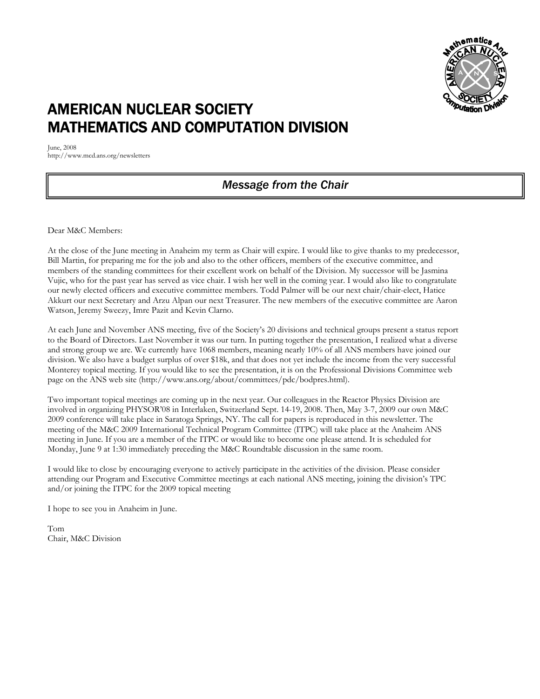

### AMERICAN NUCLEAR SOCIETY MATHEMATICS AND COMPUTATION DIVISION

June, 2008 http://www.mcd.ans.org/newsletters

### *Message from the Chair*

Dear M&C Members:

At the close of the June meeting in Anaheim my term as Chair will expire. I would like to give thanks to my predecessor, Bill Martin, for preparing me for the job and also to the other officers, members of the executive committee, and members of the standing committees for their excellent work on behalf of the Division. My successor will be Jasmina Vujic, who for the past year has served as vice chair. I wish her well in the coming year. I would also like to congratulate our newly elected officers and executive committee members. Todd Palmer will be our next chair/chair-elect, Hatice Akkurt our next Secretary and Arzu Alpan our next Treasurer. The new members of the executive committee are Aaron Watson, Jeremy Sweezy, Imre Pazit and Kevin Clarno.

At each June and November ANS meeting, five of the Society's 20 divisions and technical groups present a status report to the Board of Directors. Last November it was our turn. In putting together the presentation, I realized what a diverse and strong group we are. We currently have 1068 members, meaning nearly 10% of all ANS members have joined our division. We also have a budget surplus of over \$18k, and that does not yet include the income from the very successful Monterey topical meeting. If you would like to see the presentation, it is on the Professional Divisions Committee web page on the ANS web site (http://www.ans.org/about/committees/pdc/bodpres.html).

Two important topical meetings are coming up in the next year. Our colleagues in the Reactor Physics Division are involved in organizing PHYSOR'08 in Interlaken, Switzerland Sept. 14-19, 2008. Then, May 3-7, 2009 our own M&C 2009 conference will take place in Saratoga Springs, NY. The call for papers is reproduced in this newsletter. The meeting of the M&C 2009 International Technical Program Committee (ITPC) will take place at the Anaheim ANS meeting in June. If you are a member of the ITPC or would like to become one please attend. It is scheduled for Monday, June 9 at 1:30 immediately preceding the M&C Roundtable discussion in the same room.

I would like to close by encouraging everyone to actively participate in the activities of the division. Please consider attending our Program and Executive Committee meetings at each national ANS meeting, joining the division's TPC and/or joining the ITPC for the 2009 topical meeting

I hope to see you in Anaheim in June.

Tom Chair, M&C Division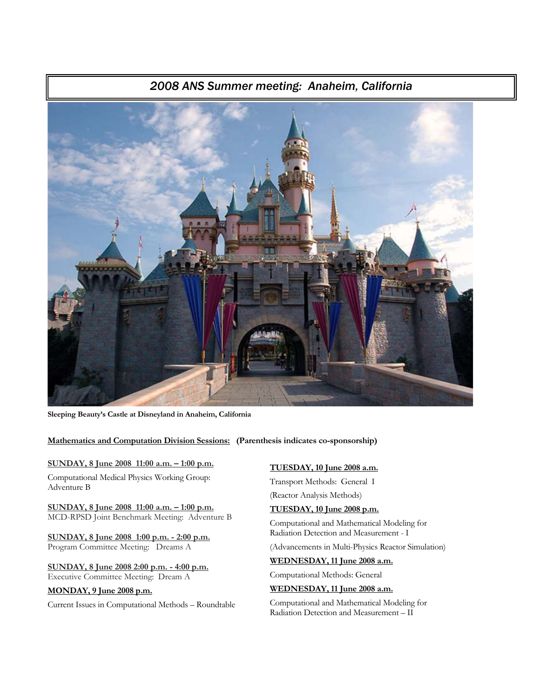# *2008 ANS Summer meeting: Anaheim, California*

**Sleeping Beauty's Castle at Disneyland in Anaheim, California** 

**Mathematics and Computation Division Sessions: (Parenthesis indicates co-sponsorship)** 

### **SUNDAY, 8 June 2008 11:00 a.m. – 1:00 p.m.**

Computational Medical Physics Working Group: Adventure B

**SUNDAY, 8 June 2008 11:00 a.m. – 1:00 p.m.** MCD-RPSD Joint Benchmark Meeting: Adventure B

**SUNDAY, 8 June 2008 1:00 p.m. - 2:00 p.m.** Program Committee Meeting: Dreams A

### **SUNDAY, 8 June 2008 2:00 p.m. - 4:00 p.m.** Executive Committee Meeting: Dream A

### **MONDAY, 9 June 2008 p.m.**

Current Issues in Computational Methods – Roundtable

### **TUESDAY, 10 June 2008 a.m.**

Transport Methods: General I (Reactor Analysis Methods)

### **TUESDAY, 10 June 2008 p.m.**

Computational and Mathematical Modeling for Radiation Detection and Measurement - I

(Advancements in Multi-Physics Reactor Simulation)

### **WEDNESDAY, 11 June 2008 a.m.**

Computational Methods: General

### **WEDNESDAY, 11 June 2008 a.m.**

Computational and Mathematical Modeling for Radiation Detection and Measurement – II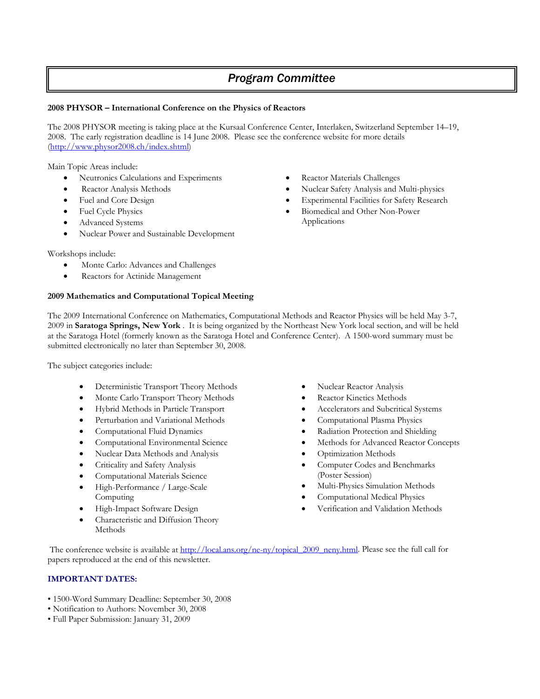### *Program Committee*

### **2008 PHYSOR – International Conference on the Physics of Reactors**

The 2008 PHYSOR meeting is taking place at the Kursaal Conference Center, Interlaken, Switzerland September 14–19, 2008. The early registration deadline is 14 June 2008. Please see the conference website for more details (http://www.physor2008.ch/index.shtml)

Main Topic Areas include:

- Neutronics Calculations and Experiments
- Reactor Analysis Methods
- Fuel and Core Design
- Fuel Cycle Physics
- Advanced Systems
- Nuclear Power and Sustainable Development

Workshops include:

- Monte Carlo: Advances and Challenges
- Reactors for Actinide Management

### **2009 Mathematics and Computational Topical Meeting**

Reactor Materials Challenges

- Nuclear Safety Analysis and Multi-physics
- Experimental Facilities for Safety Research
- Biomedical and Other Non-Power Applications

The 2009 International Conference on Mathematics, Computational Methods and Reactor Physics will be held May 3-7, 2009 in **Saratoga Springs, New York** . It is being organized by the Northeast New York local section, and will be held at the Saratoga Hotel (formerly known as the Saratoga Hotel and Conference Center). A 1500-word summary must be submitted electronically no later than September 30, 2008.

The subject categories include:

- Deterministic Transport Theory Methods
- Monte Carlo Transport Theory Methods
- Hybrid Methods in Particle Transport
- Perturbation and Variational Methods
- Computational Fluid Dynamics
- Computational Environmental Science
- Nuclear Data Methods and Analysis
- Criticality and Safety Analysis
- Computational Materials Science
- High-Performance / Large-Scale Computing
- High-Impact Software Design
- Characteristic and Diffusion Theory **Methods**
- Nuclear Reactor Analysis
- Reactor Kinetics Methods
- Accelerators and Subcritical Systems
- Computational Plasma Physics
- Radiation Protection and Shielding
- Methods for Advanced Reactor Concepts
- Optimization Methods
- Computer Codes and Benchmarks (Poster Session)
- Multi-Physics Simulation Methods
- Computational Medical Physics
- Verification and Validation Methods

The conference website is available at http://local.ans.org/ne-ny/topical\_2009\_neny.html. Please see the full call for papers reproduced at the end of this newsletter.

### **IMPORTANT DATES:**

- 1500-Word Summary Deadline: September 30, 2008
- Notification to Authors: November 30, 2008
- Full Paper Submission: January 31, 2009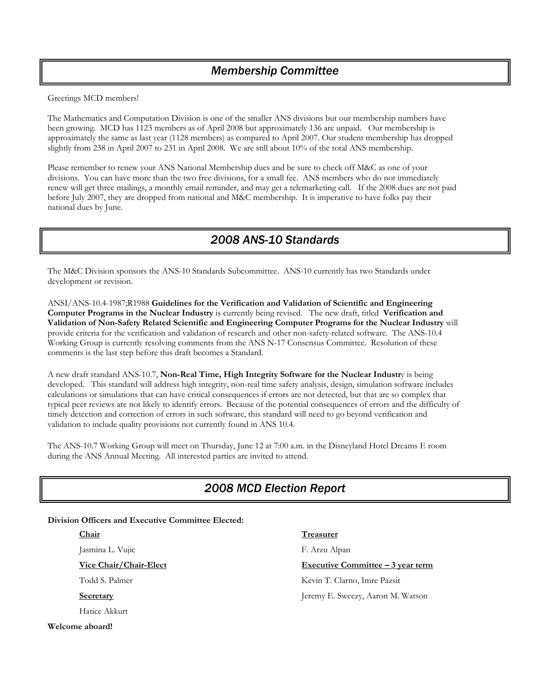### *Membership Committee*

Greetings MCD members!

The Mathematics and Computation Division is one of the smaller ANS divisions but our membership numbers have been growing. MCD has 1123 members as of April 2008 but approximately 136 are unpaid. Our membership is approximately the same as last year (1128 members) as compared to April 2007. Our student membership has dropped slightly from 238 in April 2007 to 231 in April 2008. We are still about 10% of the total ANS membership.

Please remember to renew your ANS National Membership dues and be sure to check off M&C as one of your divisions. You can have more than the two free divisions, for a small fee. ANS members who do not immediately renew will get three mailings, a monthly email reminder, and may get a telemarketing call. If the 2008 dues are not paid before July 2007, they are dropped from national and M&C membership. It is imperative to have folks pay their national dues by June.

### *2008 ANS-10 Standards*

The M&C Division sponsors the ANS-10 Standards Subcommittee. ANS-10 currently has two Standards under development or revision.

ANSI/ANS-10.4-1987;R1988 **Guidelines for the Verification and Validation of Scientific and Engineering Computer Programs in the Nuclear Industry** is currently being revised. The new draft, titled **Verification and Validation of Non-Safety Related Scientific and Engineering Computer Programs for the Nuclear Industry** will provide criteria for the verification and validation of research and other non-safety-related software. The ANS-10.4 Working Group is currently resolving comments from the ANS N-17 Consensus Committee. Resolution of these comments is the last step before this draft becomes a Standard.

A new draft standard ANS-10.7, **Non-Real Time, High Integrity Software for the Nuclear Industr**y is being developed. This standard will address high integrity, non-real time safety analysis, design, simulation software includes calculations or simulations that can have critical consequences if errors are not detected, but that are so complex that typical peer reviews are not likely to identify errors. Because of the potential consequences of errors and the difficulty of timely detection and correction of errors in such software, this standard will need to go beyond verification and validation to include quality provisions not currently found in ANS 10.4.

The ANS-10.7 Working Group will meet on Thursday, June 12 at 7:00 a.m. in the Disneyland Hotel Dreams E room during the ANS Annual Meeting. All interested parties are invited to attend.

### *2008 MCD Election Report*

**Division Officers and Executive Committee Elected:** 

### **Chair**

Jasmina L. Vujic

**Vice Chair/Chair-Elect**

Todd S. Palmer

**Secretary**

Hatice Akkurt

**Welcome aboard!**

**Treasurer**

F. Arzu Alpan

**Executive Committee – 3 year term**

Kevin T. Clarno, Imre Pazsit Jeremy E. Sweezy, Aaron M. Watson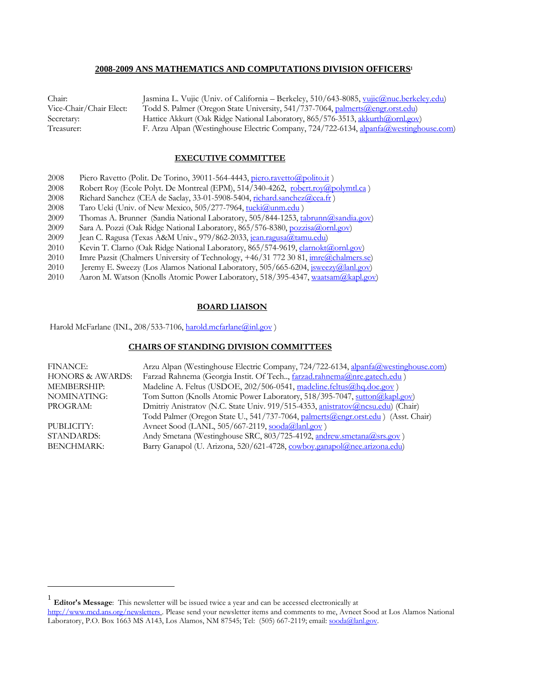### **2008-2009 ANS MATHEMATICS AND COMPUTATIONS DIVISION OFFICERS<sup>1</sup>**

| Chair:                  | Jasmina L. Vujic (Univ. of California - Berkeley, 510/643-8085, vujic@nuc.berkeley.edu) |
|-------------------------|-----------------------------------------------------------------------------------------|
| Vice-Chair/Chair Elect: | Todd S. Palmer (Oregon State University, 541/737-7064, palmerts@engr.orst.edu)          |
| Secretary:              | Hattice Akkurt (Oak Ridge National Laboratory, 865/576-3513, akkurth@ornl.gov)          |
| Treasurer:              | F. Arzu Alpan (Westinghouse Electric Company, 724/722-6134, alpanfa@westinghouse.com)   |

### **EXECUTIVE COMMITTEE**

- 2008 Piero Ravetto (Polit. De Torino, 39011-564-4443, piero.ravetto@polito.it)
- 2008 Robert Roy (Ecole Polyt. De Montreal (EPM), 514/340-4262, robert.roy@polymtl.ca)
- 2008 Richard Sanchez (CEA de Saclay, 33-01-5908-5404, richard.sanchez@cea.fr)
- 2008 Taro Ueki (Univ. of New Mexico, 505/277-7964, tueki@unm.edu)
- 2009 Thomas A. Brunner (Sandia National Laboratory, 505/844-1253, tabrunn@sandia.gov)
- 2009 Sara A. Pozzi (Oak Ridge National Laboratory, 865/576-8380, pozzisa@ornl.gov)
- 2009 Jean C. Ragusa (Texas A&M Univ., 979/862-2033, jean.ragusa@tamu.edu)
- 2010 Kevin T. Clarno (Oak Ridge National Laboratory, 865/574-9619, clarnokt@ornl.gov)<br>2010 Imre Pazsit (Chalmers University of Technology, +46/31 772 30 81, imre@chalmers..
- Imre Pazsit (Chalmers University of Technology, +46/31 772 30 81, imre@chalmers.se)
- 2010 Jeremy E. Sweezy (Los Alamos National Laboratory, 505/665-6204, *jsweezy@lanl.gov*)
- 2010 Aaron M. Watson (Knolls Atomic Power Laboratory, 518/395-4347, waatsam (a)kapl.gov)

### **BOARD LIAISON**

Harold McFarlane (INL, 208/533-7106, harold.mcfarlane@inl.gov)

### **CHAIRS OF STANDING DIVISION COMMITTEES**

| <b>FINANCE:</b>             | Arzu Alpan (Westinghouse Electric Company, 724/722-6134, alpanfa@westinghouse.com) |
|-----------------------------|------------------------------------------------------------------------------------|
| <b>HONORS &amp; AWARDS:</b> | Farzad Rahnema (Georgia Instit. Of Tech, farzad.rahnema@nre.gatech.edu)            |
| <b>MEMBERSHIP:</b>          | Madeline A. Feltus (USDOE, 202/506-0541, madeline.feltus@hq.doe.gov)               |
| NOMINATING:                 | Tom Sutton (Knolls Atomic Power Laboratory, 518/395-7047, sutton (a) kapl.gov)     |
| PROGRAM:                    | Dmitriy Anistratov (N.C. State Univ. 919/515-4353, anistratov@ncsu.edu) (Chair)    |
|                             | Todd Palmer (Oregon State U., 541/737-7064, palmerts@engr.orst.edu) (Asst. Chair)  |
| PUBLICITY:                  | Avneet Sood (LANL, 505/667-2119, sooda@lanl.gov)                                   |
| <b>STANDARDS:</b>           | Andy Smetana (Westinghouse SRC, 803/725-4192, andrew.smetana@srs.gov)              |
| <b>BENCHMARK:</b>           | Barry Ganapol (U. Arizona, 520/621-4728, cowboy.ganapol@nee.arizona.edu)           |

 $\overline{a}$ 

<sup>1</sup> **Editor's Message**: This newsletter will be issued twice a year and can be accessed electronically at

http://www.mcd.ans.org/newsletters . Please send your newsletter items and comments to me, Avneet Sood at Los Alamos National Laboratory, P.O. Box 1663 MS A143, Los Alamos, NM 87545; Tel: (505) 667-2119; email: sooda@lanl.gov.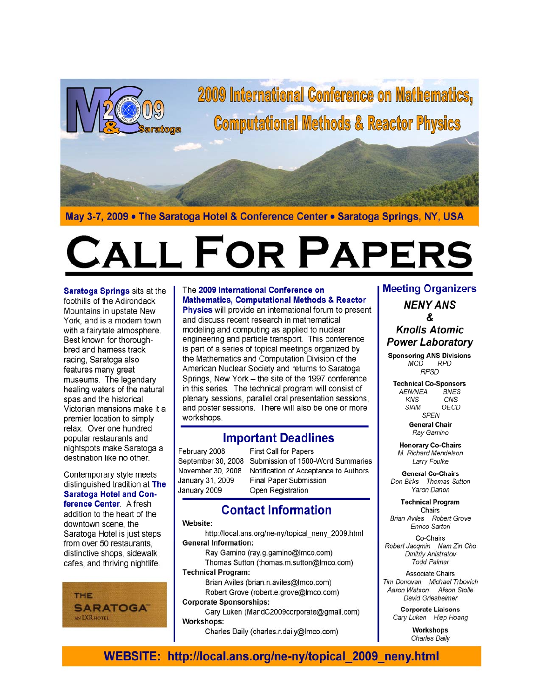

2009 International Conference on Mathematics, **Computational Methods & Reactor Physics** 

May 3-7, 2009 • The Saratoga Hotel & Conference Center • Saratoga Springs, NY, USA

# **LL FOR PAPERS**

Saratoga Springs sits at the foothills of the Adirondack Mountains in upstate New York, and is a modem town with a fairytale atmosphere. Best known for thoroughbred and hamess track racing, Saratoga also features many great museums. The legendary healing waters of the natural spas and the historical Victorian mansions make it a premier location to simply relax. Over one hundred popular restaurants and nightspots make Saratoga a destination like no other.

Contemporary style meets distinguished tradition at The **Saratoga Hotel and Con**ference Center. A fresh addition to the heart of the downtown scene, the Saratoga Hotel is just steps from over 50 restaurants. distinctive shops, sidewalk cafes, and thriving nightlife.



### The 2009 International Conference on **Mathematics, Computational Methods & Reactor**

**Physics** will provide an international forum to present and discuss recent research in mathematical modeling and computing as applied to nuclear engineering and particle transport. This conference is part of a series of topical meetings organized by the Mathematics and Computation Division of the American Nuclear Society and returns to Saratoga Springs, New York - the site of the 1997 conference in this series. The technical program will consist of plenary sessions, parallel oral presentation sessions, and poster sessions. There will also be one or more workshops.

### **Important Deadlines**

February 2008 September 30, 2008 November 30, 2008 January 31, 2009 January 2009

First Call for Papers Submission of 1500-Word Summaries Notification of Acceptance to Authors **Final Paper Submission** Open Registration

### **Contact Information**

### Website:

http://local.ans.org/ne-ny/topical\_neny\_2009.html **General Information:** 

Ray Gamino (ray.g.gamino@Imco.com) Thomas Sutton (thomas.m.sutton@Imco.com)

**Technical Program:** 

Brian Aviles (brian.n.aviles@Imco.com) Robert Grove (robert.e.grove@Imco.com) **Corporate Sponsorships:** 

### Cary Luken (MandC2009corporate@gmail.com) Workshops:

Charles Daily (charles.r.daily@Imco.com)

### **Meeting Organizers NENY ANS** &

### **Knolls Atomic Power Laboratory**

**Sponsoring ANS Divisions** MCD RPD **RPSD** 

**Technical Co-Sponsors AEN/NEA BNES KNS** CNS SIAM OECD SPEN

**General Chair** Ray Gamino

**Honorary Co-Chairs** M. Richard Mendelson Larry Foulke

**General Co-Chairs** Don Birks Thomas Sutton Yaron Danon

**Technical Program** Chairs Brian Aviles Robert Grove Enrico Sartori

Co-Chairs Robert Jacqmin Nam Zin Cho Dmitriy Anistratov **Todd Palmer** 

**Associate Chairs** Tim Donovan Michael Trbovich Aaron Watson Alison Stolle David Griesheimer

> **Corporate Liaisons** Cary Luken Hiep Hoang

> > **Workshops Charles Daily**

### WEBSITE: http://local.ans.org/ne-ny/topical\_2009\_neny.html